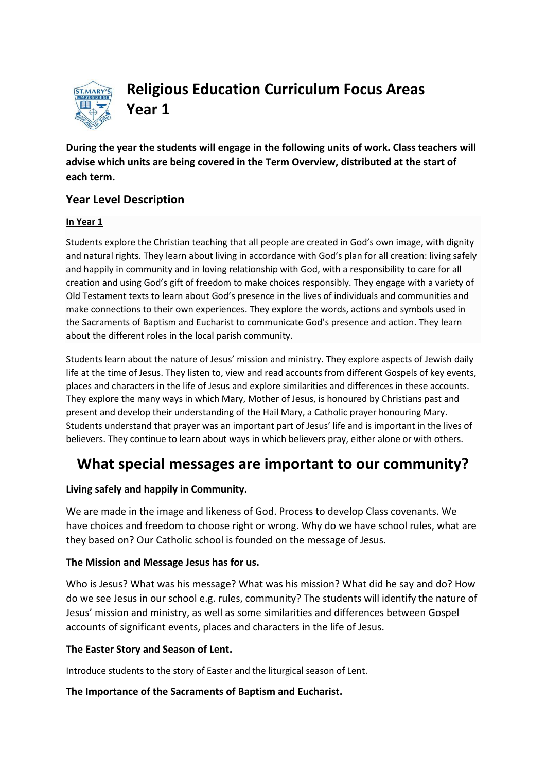

**Religious Education Curriculum Focus Areas Year 1** 

**During the year the students will engage in the following units of work. Class teachers will advise which units are being covered in the Term Overview, distributed at the start of each term.**

## **Year Level Description**

#### **In Year 1**

Students explore the Christian teaching that all people are created in God's own image, with dignity and natural rights. They learn about living in accordance with God's plan for all creation: living safely and happily in community and in loving relationship with God, with a responsibility to care for all creation and using God's gift of freedom to make choices responsibly. They engage with a variety of [Old Testament](http://www.rec.bne.catholic.edu.au/Pages/Religious-Education.aspx) texts to learn about God's presence in the lives of individuals and communities and make connections to their own experiences. They explore the words, actions and symbols used in the Sacraments of Baptism and [Eucharist](http://www.rec.bne.catholic.edu.au/Pages/Religious-Education.aspx) to communicate God's presence and action. They learn about the different roles in the local parish community.

Students learn about the nature of Jesus' mission and ministry. They explore aspects of Jewish daily life at the time of Jesus. They listen to, view and read accounts from different Gospels of key events, places and characters in the life of Jesus and explore similarities and differences in these accounts. They explore the many ways in which Mary, Mother of Jesus, is honoured by Christians past and present and develop their understanding of the Hail Mary, a Catholic prayer honouring Mary. Students understand that prayer was an important part of Jesus' life and is important in the lives of believers. They continue to learn about ways in which believers pray, either alone or with others.

# **What special messages are important to our community?**

#### **Living safely and happily in Community.**

We are made in the image and likeness of God. Process to develop Class covenants. We have choices and freedom to choose right or wrong. Why do we have school rules, what are they based on? Our Catholic school is founded on the message of Jesus.

#### **The Mission and Message Jesus has for us.**

Who is Jesus? What was his message? What was his mission? What did he say and do? How do we see Jesus in our school e.g. rules, community? The students will identify the nature of Jesus' mission and ministry, as well as some similarities and differences between Gospel accounts of significant events, places and characters in the life of Jesus.

#### **The Easter Story and Season of Lent.**

Introduce students to the story of Easter and the liturgical season of Lent.

#### **The Importance of the Sacraments of Baptism and Eucharist.**